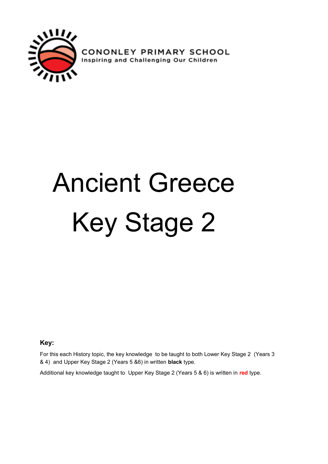

**CONONLEY PRIMARY SCHOOL**<br>Inspiring and Challenging Our Children

# Ancient Greece Key Stage 2

**Key:**

For this each History topic, the key knowledge to be taught to both Lower Key Stage 2 (Years 3 & 4) and Upper Key Stage 2 (Years 5 &6) in written **black** type.

Additional key knowledge taught to Upper Key Stage 2 (Years 5 & 6) is written in **red** type.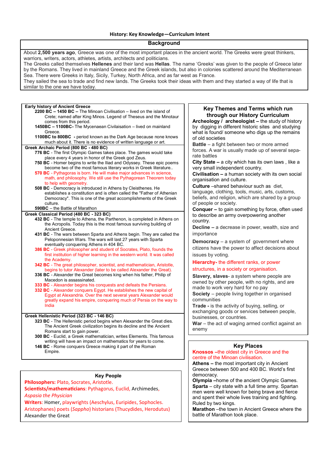**History: Key Knowledge—Curriculum Intent**

## **Background**

About **2,500 years ago**, Greece was one of the most important places in the ancient world. The Greeks were great thinkers, warriors, writers, actors, athletes, artists, architects and politicians.

The Greeks called themselves **Hellenes** and their land was **Hellas**. The name 'Greeks' was given to the people of Greece later by the Romans. They lived in mainland Greece and the Greek islands, but also in colonies scattered around the Mediterranean Sea. There were Greeks in Italy, Sicily, Turkey, North Africa, and as far west as France.

They sailed the sea to trade and find new lands. The Greeks took their ideas with them and they started a way of life that is similar to the one we have today.

| <b>Early history of Ancient Greece</b><br>2200 BC - 1450 BC - The Minoan Civilisation - lived on the island of<br>Crete; named after King Minos. Legend of Theseus and the Minotaur<br>comes from this period.<br>1450BC - 1100BC- The Mycenaean Civilaisation - lived on mainland<br>Greece.<br>1100BC to 800BC - period known as the Dark Age because none knows<br>much about it. There is no evidence of written language or art.<br>Greek Archaic Period (800 BC - 480 BC)<br>776 BC - The first Olympic Games takes place. The games would take<br>place every 4 years in honor of the Greek god Zeus.<br><b>750 BC</b> - Homer begins to write the Iliad and Odyssey. These epic poems<br>become two of the most famous literary works in Greek literature<br>570 BC - Pythagoras is born. He will make major advances in science,<br>math, and philosophy. We still use the Pythagorean Theorem today<br>to help with geometry.<br>508 BC - Democracy is introduced in Athens by Cleisthenes. He<br>establishes a constitution and is often called the "Father of Athenian<br>Democracy". This is one of the great accomplishments of the Greek<br>culture.<br>590BC - the Battle of Marathon<br>Greek Classical Period (480 BC - 323 BC)<br>432 BC - The temple to Athena, the Parthenon, is completed in Athens on<br>the Acropolis. Today this is the most famous surviving building of<br>Ancient Greece.<br>431 BC - The wars between Sparta and Athens begin. They are called the<br>Peloponnesian Wars. The wars will last 27 years with Sparta<br>eventually conquering Athens in 404 BC.<br>386 BC - Greek philosopher and student of Socrates, Plato, founds the<br>first institution of higher learning in the western world. It was called<br>the Academy.<br><b>342 BC</b> - The great philosopher, scientist, and mathematician, Aristotle,<br>begins to tutor Alexander (later to be called Alexander the Great).<br>336 BC - Alexander the Great becomes king when his father, Philip of<br>Macedon is assassinated.<br>333 BC - Alexander begins his conquests and defeats the Persians.<br>332 BC - Alexander conquers Egypt. He establishes the new capital of<br>Egypt at Alexandria. Over the next several years Alexander would<br>greatly expand his empire, conquering much of Persia on the way to<br>India<br>Greek Hellenistic Period (323 BC - 146 BC) | <b>Key Themes and Terms</b><br>through our History Cu<br>Archeology / archeologist - the<br>by digging in different historic site<br>what is found/ someone who digs<br>of old societies<br><b>Battle</b> - a fight between two or mo<br>forces. A war is usually made up o<br>rate battles<br>City State - a city which has its of<br>very small independent country.<br>Civilisation - a human society wi<br>organisation and culture.<br>Culture -shared behaviour such a<br>language, clothing, tools, music, a<br>beliefs, and religion, which are sha<br>of people or society.<br><b>Conquer - to gain something by f</b><br>to describe an army overpowering<br>country.<br><b>Decline - a decrease in power, w</b><br>importance<br>Democracy - a system of govern<br>citizens have the power to affect o<br>issues by voting.<br>Hierarchy- the different ranks, or<br>structures, in a society or organisa<br>Slavery, slaves- a system where<br>owned by other people, with no rig<br>made to work very hard for no pay<br>Society - people living together in<br>communities<br><b>Trade</b> - is the activity of buying, se<br>exchanging goods or services bet<br>businesses, or countries. |
|--------------------------------------------------------------------------------------------------------------------------------------------------------------------------------------------------------------------------------------------------------------------------------------------------------------------------------------------------------------------------------------------------------------------------------------------------------------------------------------------------------------------------------------------------------------------------------------------------------------------------------------------------------------------------------------------------------------------------------------------------------------------------------------------------------------------------------------------------------------------------------------------------------------------------------------------------------------------------------------------------------------------------------------------------------------------------------------------------------------------------------------------------------------------------------------------------------------------------------------------------------------------------------------------------------------------------------------------------------------------------------------------------------------------------------------------------------------------------------------------------------------------------------------------------------------------------------------------------------------------------------------------------------------------------------------------------------------------------------------------------------------------------------------------------------------------------------------------------------------------------------------------------------------------------------------------------------------------------------------------------------------------------------------------------------------------------------------------------------------------------------------------------------------------------------------------------------------------------------------------------------------------------------------------------------------------------------------------------------------------------------------------|-----------------------------------------------------------------------------------------------------------------------------------------------------------------------------------------------------------------------------------------------------------------------------------------------------------------------------------------------------------------------------------------------------------------------------------------------------------------------------------------------------------------------------------------------------------------------------------------------------------------------------------------------------------------------------------------------------------------------------------------------------------------------------------------------------------------------------------------------------------------------------------------------------------------------------------------------------------------------------------------------------------------------------------------------------------------------------------------------------------------------------------------------------------------------------------------------------------|
| 323 BC - The Hellenistic period begins when Alexander the Great dies.<br>The Ancient Greek civilization begins its decline and the Ancient<br>Romans start to gain power.                                                                                                                                                                                                                                                                                                                                                                                                                                                                                                                                                                                                                                                                                                                                                                                                                                                                                                                                                                                                                                                                                                                                                                                                                                                                                                                                                                                                                                                                                                                                                                                                                                                                                                                                                                                                                                                                                                                                                                                                                                                                                                                                                                                                                  | <b>War</b> – the act of waging armed co<br>enemy                                                                                                                                                                                                                                                                                                                                                                                                                                                                                                                                                                                                                                                                                                                                                                                                                                                                                                                                                                                                                                                                                                                                                          |
| 300 BC - Euclid, a Greek mathematician, writes Elements. This famous<br>writing will have an impact on mathematics for years to come.<br>146 BC - Rome conquers Greece making it part of the Roman<br>Empire.                                                                                                                                                                                                                                                                                                                                                                                                                                                                                                                                                                                                                                                                                                                                                                                                                                                                                                                                                                                                                                                                                                                                                                                                                                                                                                                                                                                                                                                                                                                                                                                                                                                                                                                                                                                                                                                                                                                                                                                                                                                                                                                                                                              | <b>Key Places</b><br>Knossos - the oldest city in Greed<br>centre of the Minoan civilisation.                                                                                                                                                                                                                                                                                                                                                                                                                                                                                                                                                                                                                                                                                                                                                                                                                                                                                                                                                                                                                                                                                                             |

#### **Key People**

### **Philosophers:** Plato, Socrates, Aristotle.

**Scientists/mathematicians**: Pythagorus, Euclid, Archimedes,

*Aspasia the Physician* 

**Writers**: Homer, playwrights (Aeschylus, Euripides, Sophocles.

Aristophanes) poets (*Sappho*) historians (Thucydides, Herodutus) Alexander the Great

## which run **through the final trace concerne**

**Archeology of history by digginal studying** up the remains

**bre** armed of several sepa-

wn laws , like a

**th its own social** 

**as** diet. language, customs, and ared by a group

**Conquer –** to gain something by force, often used another

ealth, size and

**Democracy** – and where decisions about

### power ation.

people are ghts, and are made to work very hard for no pay

n organised

**Plling, or** ween people,

**Inflict against an** 

**Reduce 2** and the centre of the Minoan civilisation.

**Athens –** the most important city in Ancient Greece between 500 and 400 BC. World's first democracy.

**Olympia –**home of the ancient Olympic Games. **Sparta** – city state with a full time army. Spartan men were well known for being brave and fierce and spent their whole lives training and fighting. Ruled by two kings.

**Marathon** –the town in Ancient Greece where the battle of Marathon took place.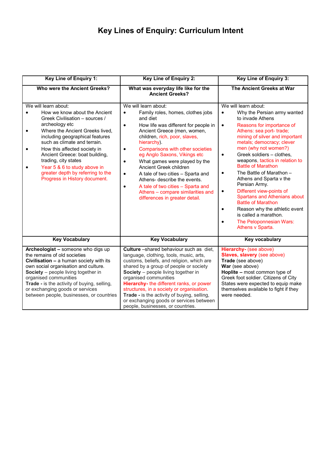# **Key Lines of Enquiry: Curriculum Intent**

| <b>Key Line of Enquiry 1:</b>                                                                                                                                                                                                                                                                                                                                                                                                                          | <b>Key Line of Enquiry 2:</b>                                                                                                                                                                                                                                                                                                                                                                                                                                                                                                                                                              | <b>Key Line of Enquiry 3:</b>                                                                                                                                                                                                                                                                                                                                                                                                                                                                                                                                                                                                                                                             |
|--------------------------------------------------------------------------------------------------------------------------------------------------------------------------------------------------------------------------------------------------------------------------------------------------------------------------------------------------------------------------------------------------------------------------------------------------------|--------------------------------------------------------------------------------------------------------------------------------------------------------------------------------------------------------------------------------------------------------------------------------------------------------------------------------------------------------------------------------------------------------------------------------------------------------------------------------------------------------------------------------------------------------------------------------------------|-------------------------------------------------------------------------------------------------------------------------------------------------------------------------------------------------------------------------------------------------------------------------------------------------------------------------------------------------------------------------------------------------------------------------------------------------------------------------------------------------------------------------------------------------------------------------------------------------------------------------------------------------------------------------------------------|
| Who were the Ancient Greeks?                                                                                                                                                                                                                                                                                                                                                                                                                           | What was everyday life like for the<br><b>Ancient Greeks?</b>                                                                                                                                                                                                                                                                                                                                                                                                                                                                                                                              | The Ancient Greeks at War                                                                                                                                                                                                                                                                                                                                                                                                                                                                                                                                                                                                                                                                 |
| We will learn about:<br>How we know about the Ancient<br>Greek Civilisation - sources /<br>archeology etc<br>Where the Ancient Greeks lived,<br>$\bullet$<br>including geographical features<br>such as climate and terrain.<br>How this affected society in<br>$\bullet$<br>Ancient Greece: boat building,<br>trading, city states<br>Year 5 & 6 to study above in<br>$\bullet$<br>greater depth by referring to the<br>Progress in History document. | We will learn about:<br>Family roles, homes, clothes jobs<br>$\bullet$<br>and diet<br>How life was different for people in<br>$\bullet$<br>Ancient Greece (men, women,<br>children, rich, poor, slaves,<br>hierarchy).<br>Comparisons with other societies<br>$\bullet$<br>eg Anglo Saxons, Vikings etc<br>What games were played by the<br>$\bullet$<br>Ancient Greek children<br>A tale of two cities - Sparta and<br>$\bullet$<br>Athens- describe the events.<br>A tale of two cities - Sparta and<br>$\bullet$<br>Athens – compare similarities and<br>differences in greater detail. | We will learn about:<br>Why the Persian army wanted<br>$\bullet$<br>to invade Athens<br>Reasons for importance of<br>$\bullet$<br>Athens: sea port- trade;<br>mining of silver and important<br>metals; democracy; clever<br>men (why not women?)<br>Greek soldiers - clothes,<br>$\bullet$<br>weapons, tactics in relation to<br><b>Battle of Marathon</b><br>The Battle of Marathon -<br>$\bullet$<br>Athens and Sparta v the<br>Persian Army.<br>Different view-points of<br>$\bullet$<br>Spartans and Athenians about<br><b>Battle of Marathon</b><br>Reason why the athletic event<br>$\bullet$<br>is called a marathon.<br>The Peloponnesian Wars:<br>$\bullet$<br>Athens v Sparta. |
| <b>Key Vocabulary</b>                                                                                                                                                                                                                                                                                                                                                                                                                                  | <b>Key Vocabulary</b>                                                                                                                                                                                                                                                                                                                                                                                                                                                                                                                                                                      | Key vocabulary                                                                                                                                                                                                                                                                                                                                                                                                                                                                                                                                                                                                                                                                            |
| Archeologist - someone who digs up<br>the remains of old societies<br>Civilisation - a human society with its<br>own social organisation and culture.<br>Society - people living together in<br>organised communities<br>Trade - is the activity of buying, selling,<br>or exchanging goods or services<br>between people, businesses, or countries                                                                                                    | Culture -shared behaviour such as diet,<br>language, clothing, tools, music, arts,<br>customs, beliefs, and religion, which are<br>shared by a group of people or society<br>Society - people living together in<br>organised communities<br>Hierarchy- the different ranks, or power<br>structures, in a society or organisation.<br>Trade - is the activity of buying, selling,<br>or exchanging goods or services between<br>people, businesses, or countries.                                                                                                                          | Hierarchy- (see above)<br>Slaves, slavery (see above)<br>Trade (see above)<br>War (see above)<br>Hoplite - most common type of<br>Greek foot soldier. Citizens of City<br>States were expected to equip make<br>themselves available to fight if they<br>were needed.                                                                                                                                                                                                                                                                                                                                                                                                                     |